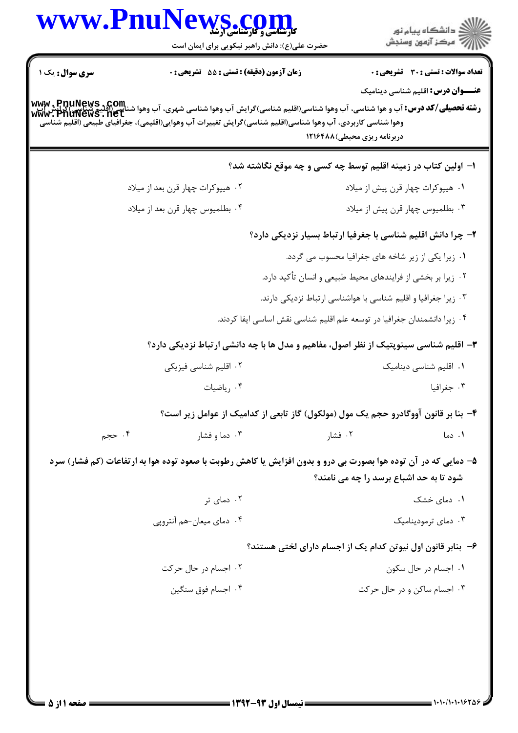| سری سوال : یک ۱ | زمان آزمون (دقیقه) : تستی : 55 تشریحی : 0<br><b>www , PnuNews , Com.</b><br><b>رشته تحصیلی/کد درس:</b> آب و هوا شناسی، آب وهوا شناسی(اقلیم شناسی)گرایش آب وهوا شناسی شهری، آب وهوا شناسی(اقلیم شناس<br>www , PnuNewS , net<br>وهوا شناسی کاربردی، آب وهوا شناسی(اقلیم شناسی)گرایش تغییرات آب وهوایی(اقلیمی)، جغرافیای طبیعی (اقلیم شناسی |                                                                                                                                                           | <b>تعداد سوالات : تستی : 30 ٪ تشریحی : 0</b><br><b>عنـــوان درس:</b> اقلیم شناسی دینامیک |
|-----------------|------------------------------------------------------------------------------------------------------------------------------------------------------------------------------------------------------------------------------------------------------------------------------------------------------------------------------------------|-----------------------------------------------------------------------------------------------------------------------------------------------------------|------------------------------------------------------------------------------------------|
|                 |                                                                                                                                                                                                                                                                                                                                          | دربرنامه ریزی محیطی)۱۲۱۶۴۸۸                                                                                                                               |                                                                                          |
|                 |                                                                                                                                                                                                                                                                                                                                          | ا– اولین کتاب در زمینه اقلیم توسط چه کسی و چه موقع نگاشته شد؟                                                                                             |                                                                                          |
|                 | ۰۲ هیپوکرات چهار قرن بعد از میلاد                                                                                                                                                                                                                                                                                                        | ۰۱ هیپوکرات چهار قرن پیش از میلاد                                                                                                                         |                                                                                          |
|                 | ۰۴ بطلميوس چهار قرن بعد از ميلاد                                                                                                                                                                                                                                                                                                         | ۰۳ بطلمیوس چهار قرن پیش از میلاد                                                                                                                          |                                                                                          |
|                 |                                                                                                                                                                                                                                                                                                                                          | ۲- چرا دانش اقلیم شناسی با جغرفیا ارتباط بسیار نزدیکی دارد؟                                                                                               |                                                                                          |
|                 |                                                                                                                                                                                                                                                                                                                                          | ۰۱ زیرا یکی از زیر شاخه های جغرافیا محسوب می گردد.                                                                                                        |                                                                                          |
|                 |                                                                                                                                                                                                                                                                                                                                          | ۰۲ زیرا بر بخشی از فرایندهای محیط طبیعی و انسان تأکید دارد.                                                                                               |                                                                                          |
|                 |                                                                                                                                                                                                                                                                                                                                          | ۰۳ زیرا جغرافیا و اقلیم شناسی با هواشناسی ارتباط نزدیکی دارند.                                                                                            |                                                                                          |
|                 |                                                                                                                                                                                                                                                                                                                                          | ۰۴ زیرا دانشمندان جغرافیا در توسعه علم اقلیم شناسی نقش اساسی ایفا کردند.                                                                                  |                                                                                          |
|                 |                                                                                                                                                                                                                                                                                                                                          | ۳- اقلیم شناسی سینوپتیک از نظر اصول، مفاهیم و مدل ها با چه دانشی ارتباط نزدیکی دارد؟                                                                      |                                                                                          |
|                 | ۰۲ اقلیم شناسی فیزیکی                                                                                                                                                                                                                                                                                                                    |                                                                                                                                                           | ۰۱ اقلیم شناسی دینامیک                                                                   |
|                 | ۰۴ رياضيات                                                                                                                                                                                                                                                                                                                               |                                                                                                                                                           | ۰۳ جغرافیا                                                                               |
|                 |                                                                                                                                                                                                                                                                                                                                          | ۴- بنا بر قانون آووگادرو حجم یک مول (مولکول) گاز تابعی از کدامیک از عوامل زیر است؟                                                                        |                                                                                          |
| ۰۴ حجم          | ۰۳ دما و فشار                                                                                                                                                                                                                                                                                                                            | ۰۲ فشار                                                                                                                                                   | ۰۱ دما                                                                                   |
|                 |                                                                                                                                                                                                                                                                                                                                          | ۵– دمایی که در آن توده هوا بصورت بی درو و بدون افزایش یا کاهش رطوبت با صعود توده هوا به ارتفاعات (کم فشار) سرد<br>شود تا به حد اشباع برسد را چه می نامند؟ |                                                                                          |
|                 | ۰۲ دمای تر                                                                                                                                                                                                                                                                                                                               |                                                                                                                                                           | ۰۱ دمای خشک                                                                              |
|                 | ۰۴ دمای میعان-هم أنتروپي                                                                                                                                                                                                                                                                                                                 |                                                                                                                                                           | ۰۳ دمای ترمودینامیک                                                                      |
|                 |                                                                                                                                                                                                                                                                                                                                          | ۶– بنابر قانون اول نیوتن کدام یک از اجسام دارای لختی هستند؟                                                                                               |                                                                                          |
|                 | ۰۲ اجسام در حال حرکت                                                                                                                                                                                                                                                                                                                     |                                                                                                                                                           | ۰۱ اجسام در حال سکون                                                                     |
|                 | ۰۴ اجسام فوق سنگين                                                                                                                                                                                                                                                                                                                       | ۰۳ اجسام ساکن و در حال حرکت                                                                                                                               |                                                                                          |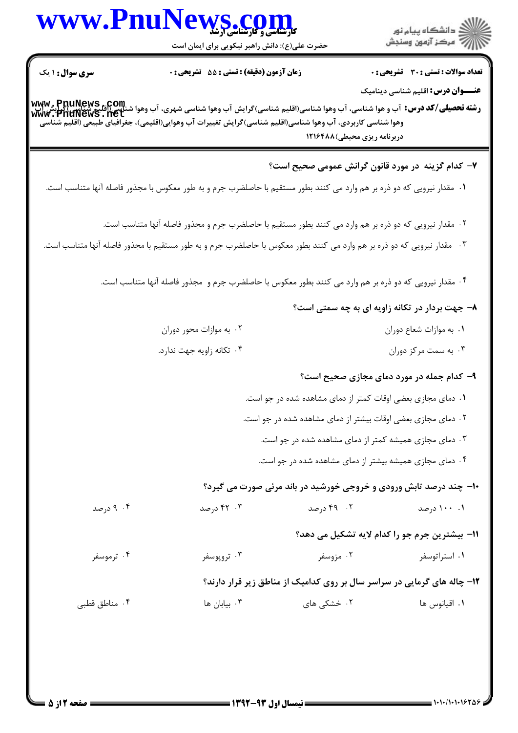|                        | www.PnuNews.com<br>حضرت علی(ع): دانش راهبر نیکویی برای ایمان است                                                                                                                                                                                                                    |                              | الا دانشگاه پيام نور<br>الا مرکز آزمون وسنجش                                             |
|------------------------|-------------------------------------------------------------------------------------------------------------------------------------------------------------------------------------------------------------------------------------------------------------------------------------|------------------------------|------------------------------------------------------------------------------------------|
| <b>سری سوال : ۱ یک</b> | زمان آزمون (دقیقه) : تستی : 55 آتشریحی : 0                                                                                                                                                                                                                                          |                              | <b>تعداد سوالات : تستی : 30 ٪ تشریحی : 0</b><br><b>عنـــوان درس:</b> اقلیم شناسی دینامیک |
|                        | <b>رشته تحصیلی/کد درس:</b> آب و هوا شناسی، آب وهوا شناسی(اقلیم شناسی)گرایش آب وهوا شناسی شهری، آب وهوا شناسی(اقلیم شناس<br>www . PnuNews . net<br>www . PnuNews . net<br>وهوا شناسی کاربردی، آب وهوا شناسی(اقلیم شناسی)گرایش تغییرات آب وهوایی(اقلیمی)، جغرافیای طبیعی (اقلیم شناسی | دربرنامه ریزی محیطی) ۱۲۱۶۴۸۸ |                                                                                          |
|                        |                                                                                                                                                                                                                                                                                     |                              | ۷– کدام گزینه در مورد قانون گرانش عمومی صحیح است؟                                        |
|                        | ۰۱ مقدار نیرویی که دو ذره بر هم وارد می کنند بطور مستقیم با حاصلضرب جرم و به طور معکوس با مجذور فاصله آنها متناسب است.                                                                                                                                                              |                              |                                                                                          |
|                        | ۰۲ مقدار نیرویی که دو ذره بر هم وارد می کنند بطور مستقیم با حاصلضرب جرم و مجذور فاصله آنها متناسب است.                                                                                                                                                                              |                              |                                                                                          |
|                        | ۰۳ مقدار نیرویی که دو ذره بر هم وارد می کنند بطور معکوس با حاصلضرب جرم و به طور مستقیم با مجذور فاصله آنها متناسب است.                                                                                                                                                              |                              |                                                                                          |
|                        | ۰۴ مقدار نیرویی که دو ذره بر هم وارد می کنند بطور معکوس با حاصلضرب جرم و ًمجذور فاصله آنها متناسب است.                                                                                                                                                                              |                              |                                                                                          |
|                        |                                                                                                                                                                                                                                                                                     |                              | ۸– جهت بردار در تکانه زاویه ای به چه سمتی است؟                                           |
|                        | ۰۲ به موازات محور دوران                                                                                                                                                                                                                                                             |                              | ۰۱ به موازات شعاع دوران                                                                  |
|                        | ۰۴ تکانه زاویه جهت ندارد.                                                                                                                                                                                                                                                           |                              | ۰۳ به سمت مرکز دوران                                                                     |
|                        |                                                                                                                                                                                                                                                                                     |                              | ۹- کدام جمله در مورد دمای مجازی صحیح است؟                                                |
|                        |                                                                                                                                                                                                                                                                                     |                              | ۰۱ دمای مجازی بعضی اوقات کمتر از دمای مشاهده شده در جو است.                              |
|                        |                                                                                                                                                                                                                                                                                     |                              | ۰۲ دمای مجازی بعضی اوقات بیشتر از دمای مشاهده شده در جو است.                             |
|                        |                                                                                                                                                                                                                                                                                     |                              | ۰۳ دمای مجازی همیشه کمتر از دمای مشاهده شده در جو است.                                   |
|                        |                                                                                                                                                                                                                                                                                     |                              | ۰۴ دمای مجازی همیشه بیشتر از دمای مشاهده شده در جو است.                                  |
|                        |                                                                                                                                                                                                                                                                                     |                              | <b>۱۰- چند درصد تابش ورودی و خروجی خورشید در باند مرئی صورت می گیرد؟</b>                 |
| ۰۴ درصد                | ۰۳ درصد                                                                                                                                                                                                                                                                             | ۰۲ ورصد                      | ۰۰ ۱۰۰ درصد                                                                              |
|                        |                                                                                                                                                                                                                                                                                     |                              | 11- بيشترين جرم جو را كدام لايه تشكيل مي دهد؟                                            |
| ۰۴ ترموسفر             | ۰۳ تروپوسفر                                                                                                                                                                                                                                                                         | ۰۲ مزوسفر                    | ۰۱ استراتوسفر                                                                            |
|                        |                                                                                                                                                                                                                                                                                     |                              | ۱۲- چاله های گرمایی در سراسر سال بر روی کدامیک از مناطق زیر قرار دارند؟                  |
| ۰۴ مناطق قطبی          | ۰۳ بيابان ها $\cdot$                                                                                                                                                                                                                                                                | ۰۲ خشکی های                  | ۰۱ اقیانوس ها                                                                            |
|                        |                                                                                                                                                                                                                                                                                     |                              |                                                                                          |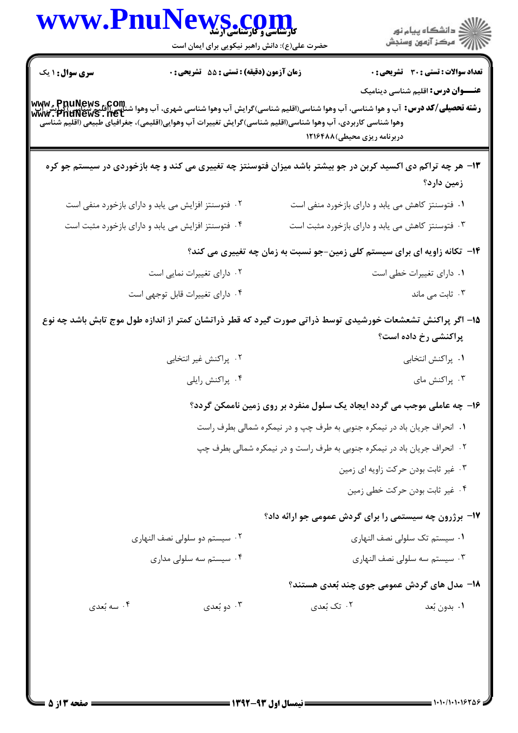|                        | www.PnuNews.com<br>حضرت علی(ع): دانش راهبر نیکویی برای ایمان است                                                                                                                                                                                            |                                                                           | ر<br>دانشڪاه پيام نور)<br>اڳ مرڪز آزمون وسنڊش                                            |
|------------------------|-------------------------------------------------------------------------------------------------------------------------------------------------------------------------------------------------------------------------------------------------------------|---------------------------------------------------------------------------|------------------------------------------------------------------------------------------|
| <b>سری سوال : ۱ یک</b> | <b>زمان آزمون (دقیقه) : تستی : 55 تشریحی : 0</b>                                                                                                                                                                                                            |                                                                           | <b>تعداد سوالات : تستی : 30 ٪ تشریحی : 0</b><br><b>عنـــوان درس:</b> اقلیم شناسی دینامیک |
|                        | رشته تحصیلی/کد درس: آب و هوا شناسی، آب وهوا شناسی(اقلیم شناسی)گرایش آب وهوا شناسی شهری، آب وهوا شناسی(اقلیم شناسی)گرایش<br>www. PnuNewS . net<br>وهوا شناسی کاربردی، آب وهوا شناسی(اقلیم شناسی)گرایش تغییرات آب وهوایی(اقلیمی)، جغرافیای طبیعی (اقلیم شناسی | دربرنامه ریزی محیطی)۱۲۱۶۴۸۸                                               |                                                                                          |
|                        | ۱۳- هر چه تراکم دی اکسید کربن در جو بیشتر باشد میزان فتوسنتز چه تغییری می کند و چه بازخوردی در سیستم جو کره                                                                                                                                                 |                                                                           | زمین دارد؟                                                                               |
|                        | ۰۲ فتوسنتز افزایش می یابد و دارای بازخورد منفی است                                                                                                                                                                                                          | ۰۱ فتوسنتز کاهش می یابد و دارای بازخورد منفی است                          |                                                                                          |
|                        | ۰۴ فتوسنتز افزایش می یابد و دارای بازخورد مثبت است                                                                                                                                                                                                          | ۰۳ فتوسنتز کاهش می یابد و دارای بازخورد مثبت است                          |                                                                                          |
|                        |                                                                                                                                                                                                                                                             | ۱۴- تکانه زاویه ای برای سیستم کلی زمین-جو نسبت به زمان چه تغییری می کند؟  |                                                                                          |
|                        | ۰۲ دارای تغییرات نمایی است                                                                                                                                                                                                                                  |                                                                           | ٠١ داراي تغييرات خطي است                                                                 |
|                        | ۰۴ دارای تغییرات قابل توجهی است                                                                                                                                                                                                                             |                                                                           | ۰۳ ثابت می ماند                                                                          |
|                        | ۱۵– اگر پراکنش تشعشعات خورشیدی توسط ذراتی صورت گیرد که قطر ذراتشان کمتر از اندازه طول موج تابش باشد چه نوع                                                                                                                                                  |                                                                           | پراکنشی رخ داده است؟                                                                     |
|                        | ۰۲ پراکنش غیر انتخابی                                                                                                                                                                                                                                       |                                                                           | ۰۱ پراکنش انتخابی                                                                        |
|                        | ۰۴ پراکنش رايلي                                                                                                                                                                                                                                             |                                                                           | ۰۳ پراکنش مای                                                                            |
|                        |                                                                                                                                                                                                                                                             | ۱۶- چه عاملی موجب می گردد ایجاد یک سلول منفرد بر روی زمین ناممکن گردد؟    |                                                                                          |
|                        |                                                                                                                                                                                                                                                             | ١. انحراف جريان باد در نيمكره جنوبي به طرف چپ و در نيمكره شمالي بطرف راست |                                                                                          |
|                        |                                                                                                                                                                                                                                                             | ۰۲ انحراف جریان باد در نیمکره جنوبی به طرف راست و در نیمکره شمالی بطرف چپ |                                                                                          |
|                        |                                                                                                                                                                                                                                                             |                                                                           | ٠٣ غير ثابت بودن حركت زاويه اي زمين                                                      |
|                        |                                                                                                                                                                                                                                                             |                                                                           | ۰۴ غیر ثابت بودن حرکت خطی زمین                                                           |
|                        |                                                                                                                                                                                                                                                             | ۱۷- برژرون چه سیستمی را برای گردش عمومی جو ارائه داد؟                     |                                                                                          |
|                        | ۰۲ سیستم دو سلولی نصف النهاری                                                                                                                                                                                                                               |                                                                           | ٠١ سيستم تك سلولي نصف النهاري                                                            |
|                        | ۰۴ سیستم سه سلولی مداری                                                                                                                                                                                                                                     |                                                                           | ۰۳ سیستم سه سلولی نصف النهاری                                                            |
|                        |                                                                                                                                                                                                                                                             | ۱۸– مدل های گردش عمومی جوی چند بُعدی هستند؟                               |                                                                                          |
| ۰۴ سه بُعدي            | ۰۳ دو بُعدي                                                                                                                                                                                                                                                 | ۰۲ تک بُعدي                                                               | ٠١. بدون بُعد                                                                            |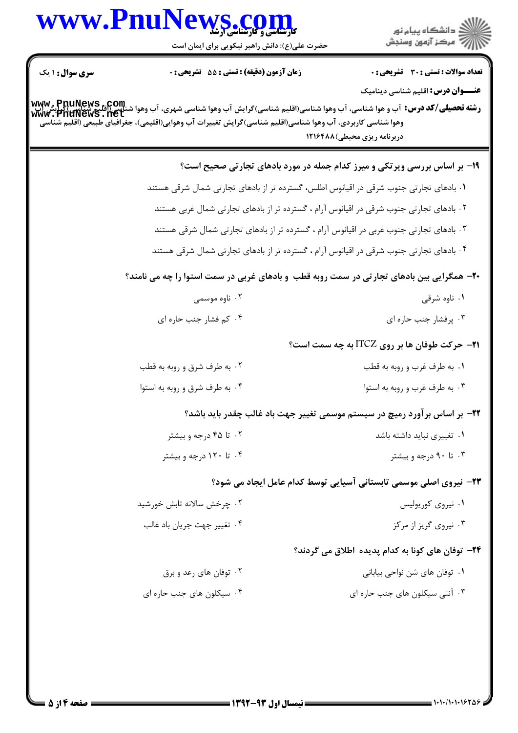|                        | WWW.PnuNews.com<br>حضرت علی(ع): دانش راهبر نیکویی برای ایمان است                                                                                                                                                                                                                    | ر<br>استگاه پيام نور<br>استر آزمون وسنڊش                                                 |
|------------------------|-------------------------------------------------------------------------------------------------------------------------------------------------------------------------------------------------------------------------------------------------------------------------------------|------------------------------------------------------------------------------------------|
| <b>سری سوال : ۱ یک</b> | <b>زمان آزمون (دقیقه) : تستی : 55 تشریحی : 0</b>                                                                                                                                                                                                                                    | <b>تعداد سوالات : تستی : 30 ٪ تشریحی : 0</b><br><b>عنـــوان درس:</b> اقلیم شناسی دینامیک |
|                        | <b>رشته تحصیلی/کد درس:</b> آب و هوا شناسی، آب وهوا شناسی(اقلیم شناسی)گرایش آب وهوا شناسی شهری، آب وهوا شناسی(اقلیم شناس<br>www . PnuNews . net<br>www . PnuNews . net<br>وهوا شناسی کاربردی، آب وهوا شناسی(اقلیم شناسی)گرایش تغییرات آب وهوایی(اقلیمی)، جغرافیای طبیعی (اقلیم شناسی | دربرنامه ریزی محیطی)۱۲۱۶۴۸۸                                                              |
|                        |                                                                                                                                                                                                                                                                                     | ۱۹- بر اساس بررسی ویرتکی و میرز کدام جمله در مورد بادهای تجارتی صحیح است؟                |
|                        | ۰۱ بادهای تجارتی جنوب شرقی در اقیانوس اطلس، گسترده تر از بادهای تجارتی شمال شرقی هستند                                                                                                                                                                                              |                                                                                          |
|                        | ۰۲ بادهای تجارتی جنوب شرقی در اقیانوس آرام ، گسترده تر از بادهای تجارتی شمال غربی هستند                                                                                                                                                                                             |                                                                                          |
|                        | ۰۳ بادهای تجارتی جنوب غربی در اقیانوس آرام ، گسترده تر از بادهای تجارتی شمال شرقی هستند                                                                                                                                                                                             |                                                                                          |
|                        | ۰۴ بادهای تجارتی جنوب شرقی در اقیانوس آرام ، گسترده تر از بادهای تجارتی شمال شرقی هستند                                                                                                                                                                                             |                                                                                          |
|                        | <b>۲۰</b> - همگرایی بین بادهای تجارتی در سمت روبه قطب ًو بادهای غربی در سمت استوا را چه می نامند؟                                                                                                                                                                                   |                                                                                          |
|                        | ۰۲ ناوه موسمی                                                                                                                                                                                                                                                                       | ۰۱ ناوه شرقی                                                                             |
|                        | ۰۴ کم فشار جنب حاره ای                                                                                                                                                                                                                                                              | ۰۳ پرفشار جنب حاره ای                                                                    |
|                        |                                                                                                                                                                                                                                                                                     | <b>۲۱- حرکت طوفان ها بر روی ITCZ به چه سمت است؟</b>                                      |
|                        | ۰۲ به طرف شرق و روبه به قطب                                                                                                                                                                                                                                                         | ۰۱ به طرف غرب و روبه به قطب                                                              |
|                        | ۰۴ به طرف شرق و روبه به استوا                                                                                                                                                                                                                                                       | ۰۳ به طرف غرب و روبه به استوا                                                            |
|                        |                                                                                                                                                                                                                                                                                     | ۲۲- بر اساس بر آورد رمیچ در سیستم موسمی تغییر جهت باد غالب چقدر باید باشد؟               |
|                        | ۰۲ تا ۴۵ درجه و بیشتر                                                                                                                                                                                                                                                               | ۰۱ تغییری نباید داشته باشد                                                               |
|                        | ۰۴ تا ۱۲۰ درجه و بیشتر                                                                                                                                                                                                                                                              | ۰۳ تا ۹۰ درجه و بیشتر                                                                    |
|                        |                                                                                                                                                                                                                                                                                     | ۲۳- نیروی اصلی موسمی تابستانی آسیایی توسط کدام عامل ایجاد می شود؟                        |
|                        | ۰۲ چرخش سالانه تابش خورشید                                                                                                                                                                                                                                                          | ۰۱ نیروی کوریولیس                                                                        |
|                        | ۰۴ تغيير جهت جريان باد غالب                                                                                                                                                                                                                                                         | ۰۳ نیروی گریز از مرکز                                                                    |
|                        |                                                                                                                                                                                                                                                                                     | ۲۴– توفان های کونا به کدام پدیده اطلاق می گردند؟                                         |
|                        | ۰۲ توفان های رعد و برق                                                                                                                                                                                                                                                              | ۰۱ توفان های شن نواحی بیابانی                                                            |
|                        |                                                                                                                                                                                                                                                                                     |                                                                                          |